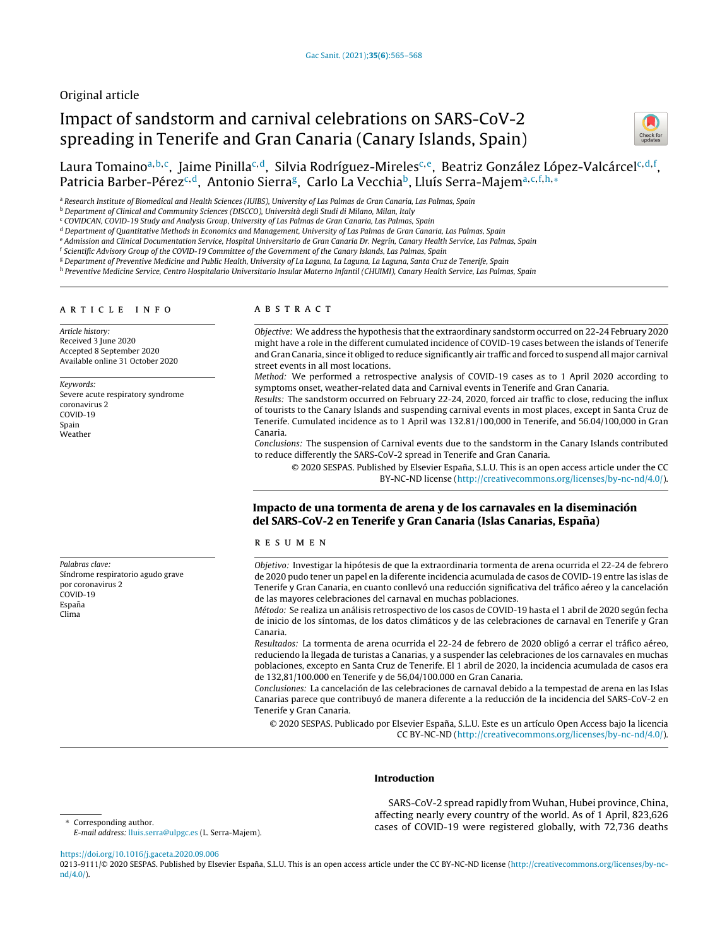# Original article

# Impact of sandstorm and carnival celebrations on SARS-CoV-2 spreading in Tenerife and Gran Canaria (Canary Islands, Spain)



Laura Tomaino<sup>a,b,c</sup>, Jaime Pinilla<sup>c,d</sup>, Silvia Rodríguez-Mireles<sup>c,e</sup>, Beatriz González López-Valcárcel<sup>c,d,f</sup>, Patricia Barber-Pérez<sup>c,d</sup>, Antonio Sierra<sup>g</sup>, Carlo La Vecchia<sup>b</sup>, Lluís Serra-Majem<sup>a,c,f,h,</sup>\*

a Research Institute of Biomedical and Health Sciences (IUIBS), University of Las Palmas de Gran Canaria, Las Palmas, Spain

<sup>b</sup> Department of Clinical and Community Sciences (DISCCO), Università degli Studi di Milano, Milan, Italy

<sup>c</sup> COVIDCAN, COVID-19 Study and Analysis Group, University of Las Palmas de Gran Canaria, Las Palmas, Spain

<sup>d</sup> Department of Quantitative Methods in Economics and Management, University of Las Palmas de Gran Canaria, Las Palmas, Spain

e Admission and Clinical Documentation Service, Hospital Universitario de Gran Canaria Dr. Negrín, Canary Health Service, Las Palmas, Spain

<sup>f</sup> Scientific Advisory Group of the COVID-19 Committee of the Government of the Canary Islands, Las Palmas, Spain

<sup>g</sup> Department of Preventive Medicine and Public Health, University of La Laguna, La Laguna, La Laguna, Santa Cruz de Tenerife, Spain

h Preventive Medicine Service, Centro Hospitalario Universitario Insular Materno Infantil (CHUIMI), Canary Health Service, Las Palmas, Spain

## a r t i c l e i n f o

Article history: Received 3 June 2020 Accepted 8 September 2020 Available online 31 October 2020

Keywords: Severe acute respiratory syndrome coronavirus 2 COVID-19 Spain Weather

Palabras clave: Síndrome respiratorio agudo grave por coronavirus 2 COVID-19 Espana˜ Clima

# A B S T R A C T

Objective: We address the hypothesis that the extraordinary sandstorm occurred on 22-24 February 2020 might have a role in the different cumulated incidence of COVID-19 cases between the islands of Tenerife and Gran Canaria, since it obliged to reduce significantly air traffic and forced to suspend all major carnival street events in all most locations.

Method: We performed a retrospective analysis of COVID-19 cases as to 1 April 2020 according to symptoms onset, weather-related data and Carnival events in Tenerife and Gran Canaria.

Results: The sandstorm occurred on February 22-24, 2020, forced air traffic to close, reducing the influx of tourists to the Canary Islands and suspending carnival events in most places, except in Santa Cruz de Tenerife. Cumulated incidence as to 1 April was 132.81/100,000 in Tenerife, and 56.04/100,000 in Gran Canaria.

Conclusions: The suspension of Carnival events due to the sandstorm in the Canary Islands contributed to reduce differently the SARS-CoV-2 spread in Tenerife and Gran Canaria.

© 2020 SESPAS. Published by Elsevier España, S.L.U. This is an open access article under the CC BY-NC-ND license [\(http://creativecommons.org/licenses/by-nc-nd/4.0/](http://creativecommons.org/licenses/by-nc-nd/4.0/)).

# Impacto de una tormenta de arena y de los carnavales en la diseminación del SARS-CoV-2 en Tenerife y Gran Canaria (Islas Canarias, España)

#### r e s u m e n

Objetivo: Investigar la hipótesis de que la extraordinaria tormenta de arena ocurrida el 22-24 de febrero de 2020 pudo tener un papel en la diferente incidencia acumulada de casos de COVID-19 entre las islas de Tenerife y Gran Canaria, en cuanto conllevó una reducción significativa del tráfico aéreo y la cancelación de las mayores celebraciones del carnaval en muchas poblaciones.

Método: Se realiza un análisis retrospectivo de los casos de COVID-19 hasta el 1 abril de 2020 según fecha de inicio de los síntomas, de los datos climáticos y de las celebraciones de carnaval en Tenerife y Gran Canaria.

Resultados: La tormenta de arena ocurrida el 22-24 de febrero de 2020 obligó a cerrar el tráfico aéreo, reduciendo la llegada de turistas a Canarias, y a suspender las celebraciones de los carnavales en muchas poblaciones, excepto en Santa Cruz de Tenerife. El 1 abril de 2020, la incidencia acumulada de casos era de 132,81/100.000 en Tenerife y de 56,04/100.000 en Gran Canaria.

Conclusiones: La cancelación de las celebraciones de carnaval debido a la tempestad de arena en las Islas Canarias parece que contribuyó de manera diferente a la reducción de la incidencia del SARS-CoV-2 en Tenerife y Gran Canaria.

© 2020 SESPAS. Publicado por Elsevier España, S.L.U. Este es un artículo Open Access bajo la licencia CC BY-NC-ND [\(http://creativecommons.org/licenses/by-nc-nd/4.0/](http://creativecommons.org/licenses/by-nc-nd/4.0/)).

# Introduction

SARS-CoV-2 spread rapidly from Wuhan, Hubei province, China, affecting nearly every country of the world. As of 1 April, 823,626 cases of COVID-19 were registered globally, with 72,736 deaths

Corresponding author.

E-mail address: [lluis.serra@ulpgc.es](mailto:lluis.serra@ulpgc.es) (L. Serra-Majem).

<https://doi.org/10.1016/j.gaceta.2020.09.006>

0213-9111/© 2020 SESPAS. Published by Elsevier España, S.L.U. This is an open access article under the CC BY-NC-ND license [\(http://creativecommons.org/licenses/by-nc](http://creativecommons.org/licenses/by-nc-nd/4.0/)[nd/4.0/\)](http://creativecommons.org/licenses/by-nc-nd/4.0/).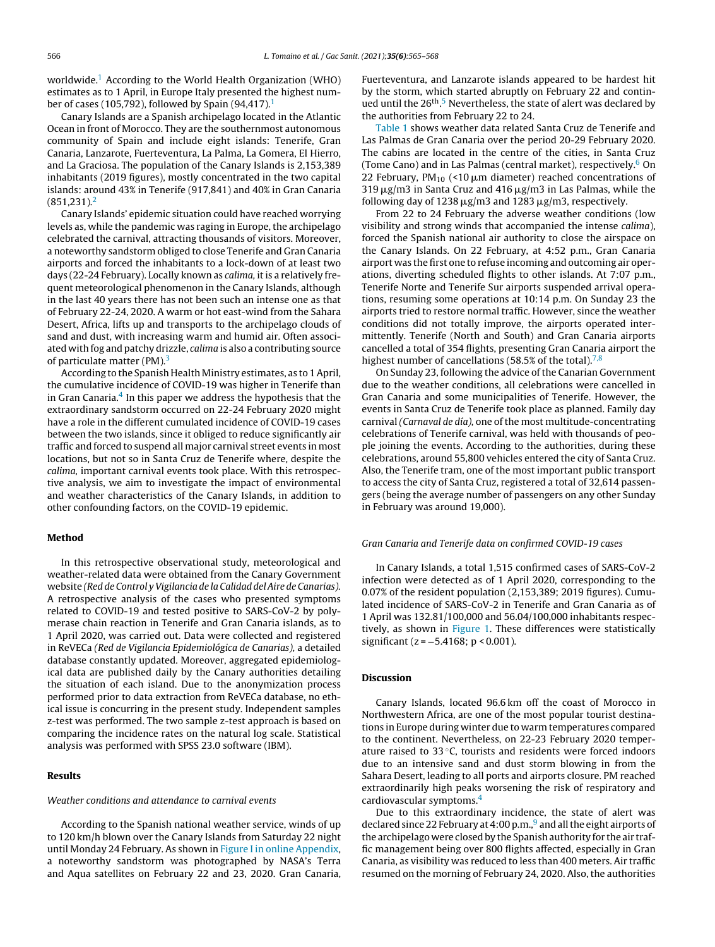worldwide.<sup>[1](#page-3-0)</sup> According to the World Health Organization (WHO) estimates as to 1 April, in Europe Italy presented the highest num-ber of cases ([1](#page-3-0)05,792), followed by Spain (94,417). $<sup>1</sup>$ </sup>

Canary Islands are a Spanish archipelago located in the Atlantic Ocean in front of Morocco. They are the southernmost autonomous community of Spain and include eight islands: Tenerife, Gran Canaria, Lanzarote, Fuerteventura, La Palma, La Gomera, El Hierro, and La Graciosa. The population of the Canary Islands is 2,153,389 inhabitants (2019 figures), mostly concentrated in the two capital islands: around 43% in Tenerife (917,841) and 40% in Gran Canaria  $(851.231).<sup>2</sup>$  $(851.231).<sup>2</sup>$  $(851.231).<sup>2</sup>$ 

Canary Islands' epidemic situation could have reached worrying levels as, while the pandemic was raging in Europe, the archipelago celebrated the carnival, attracting thousands of visitors. Moreover, a noteworthy sandstorm obliged to close Tenerife and Gran Canaria airports and forced the inhabitants to a lock-down of at least two days (22-24 February). Locally known as *calima*, it is a relatively frequent meteorological phenomenon in the Canary Islands, although in the last 40 years there has not been such an intense one as that of February 22-24, 2020. A warm or hot east-wind from the Sahara Desert, Africa, lifts up and transports to the archipelago clouds of sand and dust, with increasing warm and humid air. Often associated with fog and patchy drizzle, calima is also a contributing source of particulate matter (PM).<sup>[3](#page-3-0)</sup>

According to the Spanish Health Ministry estimates, as to 1April, the cumulative incidence of COVID-19 was higher in Tenerife than in Gran Canaria.<sup>[4](#page-3-0)</sup> In this paper we address the hypothesis that the extraordinary sandstorm occurred on 22-24 February 2020 might have a role in the different cumulated incidence of COVID-19 cases between the two islands, since it obliged to reduce significantly air traffic and forced to suspend all major carnival street events in most locations, but not so in Santa Cruz de Tenerife where, despite the calima, important carnival events took place. With this retrospective analysis, we aim to investigate the impact of environmental and weather characteristics of the Canary Islands, in addition to other confounding factors, on the COVID-19 epidemic.

## Method

In this retrospective observational study, meteorological and weather-related data were obtained from the Canary Government website (Red de Control y Vigilancia de la Calidad del Aire de Canarias). A retrospective analysis of the cases who presented symptoms related to COVID-19 and tested positive to SARS-CoV-2 by polymerase chain reaction in Tenerife and Gran Canaria islands, as to 1 April 2020, was carried out. Data were collected and registered in ReVECa (Red de Vigilancia Epidemiológica de Canarias), a detailed database constantly updated. Moreover, aggregated epidemiological data are published daily by the Canary authorities detailing the situation of each island. Due to the anonymization process performed prior to data extraction from ReVECa database, no ethical issue is concurring in the present study. Independent samples z-test was performed. The two sample z-test approach is based on comparing the incidence rates on the natural log scale. Statistical analysis was performed with SPSS 23.0 software (IBM).

## Results

## Weather conditions and attendance to carnival events

According to the Spanish national weather service, winds of up to 120 km/h blown over the Canary Islands from Saturday 22 night until Monday 24 February. As shown in Figure I in online [Appendix,](#page-3-0) a noteworthy sandstorm was photographed by NASA's Terra and Aqua satellites on February 22 and 23, 2020. Gran Canaria,

Fuerteventura, and Lanzarote islands appeared to be hardest hit by the storm, which started abruptly on February 22 and contin-ued until the 26<sup>th</sup>.<sup>5</sup> [N](#page-3-0)evertheless, the state of alert was declared by the authorities from February 22 to 24.

[Table](#page-2-0) 1 shows weather data related Santa Cruz de Tenerife and Las Palmas de Gran Canaria over the period 20-29 February 2020. The cabins are located in the centre of the cities, in Santa Cruz (Tome Cano) and in Las Palmas (central market), respectively.<sup>6</sup> [O](#page-3-0)n 22 February, PM $_{10}$  (<10  $\mu$ m diameter) reached concentrations of  $319 \,\mathrm{\mu g}/\mathrm{m}$ 3 in Santa Cruz and 416  $\mathrm{\mu g}/\mathrm{m}$ 3 in Las Palmas, while the following day of 1238  $\mu$ g/m3 and 1283  $\mu$ g/m3, respectively.

From 22 to 24 February the adverse weather conditions (low visibility and strong winds that accompanied the intense calima), forced the Spanish national air authority to close the airspace on the Canary Islands. On 22 February, at 4:52 p.m., Gran Canaria airport was the first one to refuse incoming and outcoming air operations, diverting scheduled flights to other islands. At 7:07 p.m., Tenerife Norte and Tenerife Sur airports suspended arrival operations, resuming some operations at 10:14 p.m. On Sunday 23 the airports tried to restore normal traffic. However, since the weather conditions did not totally improve, the airports operated intermittently. Tenerife (North and South) and Gran Canaria airports cancelled a total of 354 flights, presenting Gran Canaria airport the highest number of cancellations (58.5% of the total).<sup>[7,8](#page-3-0)</sup>

On Sunday 23, following the advice of the Canarian Government due to the weather conditions, all celebrations were cancelled in Gran Canaria and some municipalities of Tenerife. However, the events in Santa Cruz de Tenerife took place as planned. Family day carnival (Carnaval de día), one of the most multitude-concentrating celebrations of Tenerife carnival, was held with thousands of people joining the events. According to the authorities, during these celebrations, around 55,800 vehicles entered the city of Santa Cruz. Also, the Tenerife tram, one of the most important public transport to access the city of Santa Cruz, registered a total of 32,614 passengers (being the average number of passengers on any other Sunday in February was around 19,000).

#### Gran Canaria and Tenerife data on confirmed COVID-19 cases

In Canary Islands, a total 1,515 confirmed cases of SARS-CoV-2 infection were detected as of 1 April 2020, corresponding to the 0.07% of the resident population (2,153,389; 2019 figures). Cumulated incidence of SARS-CoV-2 in Tenerife and Gran Canaria as of 1 April was 132.81/100,000 and 56.04/100,000 inhabitants respec-tively, as shown in [Figure](#page-2-0) 1. These differences were statistically significant (z = −5.4168; p < 0.001).

# Discussion

Canary Islands, located 96.6 km off the coast of Morocco in Northwestern Africa, are one of the most popular tourist destinations in Europe during winter due to warm temperatures compared to the continent. Nevertheless, on 22-23 February 2020 temperature raised to  $33^{\circ}$ C, tourists and residents were forced indoors due to an intensive sand and dust storm blowing in from the Sahara Desert, leading to all ports and airports closure. PM reached extraordinarily high peaks worsening the risk of respiratory and cardiovascular symptoms.[4](#page-3-0)

Due to this extraordinary incidence, the state of alert was decl[a](#page-3-0)red since 22 February at 4:00 p.m.,<sup>9</sup> and all the eight airports of the archipelago were closed by the Spanish authority for the air traffic management being over 800 flights affected, especially in Gran Canaria, as visibility was reduced to less than 400 meters. Air traffic resumed on the morning of February 24, 2020. Also, the authorities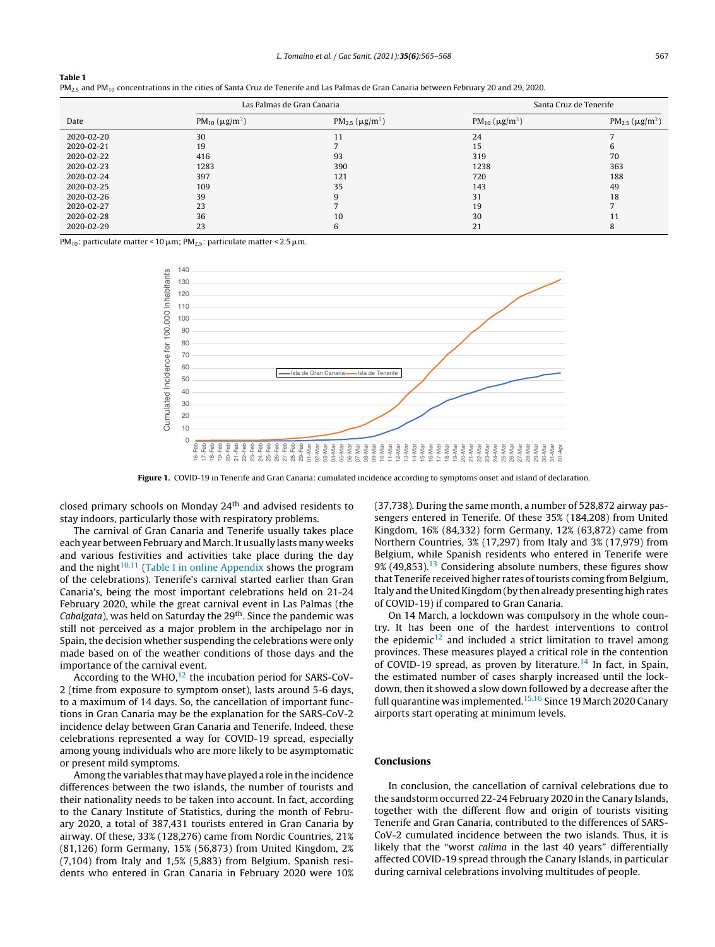<span id="page-2-0"></span>

|  |  | $PM_{2.5}$ and PM $_{10}$ concentrations in the cities of Santa Cruz de Tenerife and Las Palmas de Gran Canaria between February 20 and 29, 2020. |  |  |  |  |  |  |  |  |  |  |  |  |  |
|--|--|---------------------------------------------------------------------------------------------------------------------------------------------------|--|--|--|--|--|--|--|--|--|--|--|--|--|
|--|--|---------------------------------------------------------------------------------------------------------------------------------------------------|--|--|--|--|--|--|--|--|--|--|--|--|--|

|            |                                             | Las Palmas de Gran Canaria                   | Santa Cruz de Tenerife                      |                                              |  |  |
|------------|---------------------------------------------|----------------------------------------------|---------------------------------------------|----------------------------------------------|--|--|
| Date       | PM <sub>10</sub> ( $\mu$ g/m <sup>3</sup> ) | PM <sub>2.5</sub> ( $\mu$ g/m <sup>3</sup> ) | PM <sub>10</sub> ( $\mu$ g/m <sup>3</sup> ) | PM <sub>2.5</sub> ( $\mu$ g/m <sup>3</sup> ) |  |  |
| 2020-02-20 | 30                                          | 11                                           | 24                                          |                                              |  |  |
| 2020-02-21 | 19                                          |                                              | 15                                          | b                                            |  |  |
| 2020-02-22 | 416                                         | 93                                           | 319                                         | 70                                           |  |  |
| 2020-02-23 | 1283                                        | 390                                          | 1238                                        | 363                                          |  |  |
| 2020-02-24 | 397                                         | 121                                          | 720                                         | 188                                          |  |  |
| 2020-02-25 | 109                                         | 35                                           | 143                                         | 49                                           |  |  |
| 2020-02-26 | 39                                          | 9                                            | 31                                          | 18                                           |  |  |
| 2020-02-27 | 23                                          |                                              | 19                                          |                                              |  |  |
| 2020-02-28 | 36                                          | 10                                           | 30                                          | 11                                           |  |  |
| 2020-02-29 | 23                                          | 6                                            | 21                                          | 8                                            |  |  |

PM $_{10}$ : particulate matter < 10  $\mu$ m; PM $_{2.5}$ : particulate matter < 2.5  $\mu$ m.



Figure 1. COVID-19 in Tenerife and Gran Canaria: cumulated incidence according to symptoms onset and island of declaration.

closed primary schools on Monday 24th and advised residents to stay indoors, particularly those with respiratory problems.

The carnival of Gran Canaria and Tenerife usually takes place each year between February and March. It usually lasts many weeks and various festivities and activities take place during the day and the night $10,11$  (Table I in online [Appendix](#page-3-0) shows the program of the celebrations). Tenerife's carnival started earlier than Gran Canaria's, being the most important celebrations held on 21-24 February 2020, while the great carnival event in Las Palmas (the Cabalgata), was held on Saturday the 29<sup>th</sup>. Since the pandemic was still not perceived as a major problem in the archipelago nor in Spain, the decision whether suspending the celebrations were only made based on of the weather conditions of those days and the importance of the carnival event.

According to the WHO,<sup>[12](#page-3-0)</sup> the incubation period for SARS-CoV-2 (time from exposure to symptom onset), lasts around 5-6 days, to a maximum of 14 days. So, the cancellation of important functions in Gran Canaria may be the explanation for the SARS-CoV-2 incidence delay between Gran Canaria and Tenerife. Indeed, these celebrations represented a way for COVID-19 spread, especially among young individuals who are more likely to be asymptomatic or present mild symptoms.

Among the variables that may have played a role in the incidence differences between the two islands, the number of tourists and their nationality needs to be taken into account. In fact, according to the Canary Institute of Statistics, during the month of February 2020, a total of 387,431 tourists entered in Gran Canaria by airway. Of these, 33% (128,276) came from Nordic Countries, 21% (81,126) form Germany, 15% (56,873) from United Kingdom, 2% (7,104) from Italy and 1,5% (5,883) from Belgium. Spanish residents who entered in Gran Canaria in February 2020 were 10% (37,738). During the same month, a number of 528,872 airway passengers entered in Tenerife. Of these 35% (184,208) from United Kingdom, 16% (84,332) form Germany, 12% (63,872) came from Northern Countries, 3% (17,297) from Italy and 3% (17,979) from Belgium, while Spanish residents who entered in Tenerife were  $9\%$  (49,853).<sup>[13](#page-3-0)</sup> Considering absolute numbers, these figures show that Tenerife received higher rates of tourists coming from Belgium, Italy and the United Kingdom (by then already presenting high rates of COVID-19) if compared to Gran Canaria.

On 14 March, a lockdown was compulsory in the whole country. It has been one of the hardest interventions to control the epidemic $12$  and included a strict limitation to travel among provinces. These measures played a critical role in the contention of COVID-19 spread, as proven by literature.<sup>[14](#page-3-0)</sup> In fact, in Spain, the estimated number of cases sharply increased until the lockdown, then it showed a slow down followed by a decrease after the full quarantine was implemented.<sup>[15,16](#page-3-0)</sup> Since 19 March 2020 Canary airports start operating at minimum levels.

# Conclusions

In conclusion, the cancellation of carnival celebrations due to the sandstorm occurred 22-24 February 2020 in the Canary Islands, together with the different flow and origin of tourists visiting Tenerife and Gran Canaria, contributed to the differences of SARS-CoV-2 cumulated incidence between the two islands. Thus, it is likely that the "worst calima in the last 40 years" differentially affected COVID-19 spread through the Canary Islands, in particular during carnival celebrations involving multitudes of people.